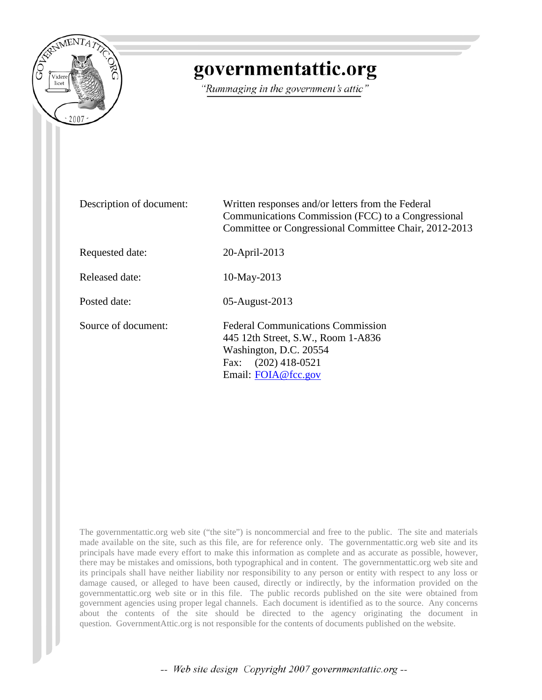

# governmentattic.org

"Rummaging in the government's attic"

| Description of document: | Written responses and/or letters from the Federal<br>Communications Commission (FCC) to a Congressional<br>Committee or Congressional Committee Chair, 2012-2013 |
|--------------------------|------------------------------------------------------------------------------------------------------------------------------------------------------------------|
| Requested date:          | 20-April-2013                                                                                                                                                    |
| Released date:           | 10-May-2013                                                                                                                                                      |
| Posted date:             | 05-August-2013                                                                                                                                                   |
| Source of document:      | <b>Federal Communications Commission</b><br>445 12th Street, S.W., Room 1-A836<br>Washington, D.C. 20554<br>$(202)$ 418-0521<br>Fax:<br>Email: FOIA@fcc.gov      |

The governmentattic.org web site ("the site") is noncommercial and free to the public. The site and materials made available on the site, such as this file, are for reference only. The governmentattic.org web site and its principals have made every effort to make this information as complete and as accurate as possible, however, there may be mistakes and omissions, both typographical and in content. The governmentattic.org web site and its principals shall have neither liability nor responsibility to any person or entity with respect to any loss or damage caused, or alleged to have been caused, directly or indirectly, by the information provided on the governmentattic.org web site or in this file. The public records published on the site were obtained from government agencies using proper legal channels. Each document is identified as to the source. Any concerns about the contents of the site should be directed to the agency originating the document in question. GovernmentAttic.org is not responsible for the contents of documents published on the website.

-- Web site design Copyright 2007 governmentattic.org --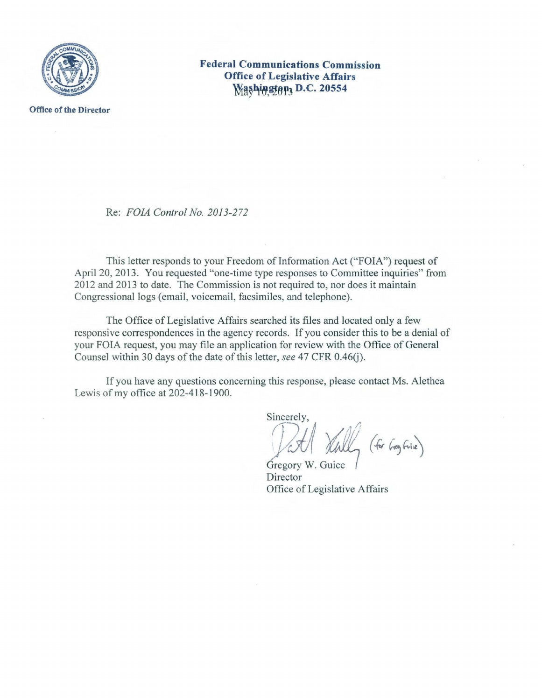

**Office of the Director** 

**Federal Communications Commission Office of Legislative Affairs Washington, D.C. 20554** 

Re: *FOIA Control No. 2013-272* 

This letter responds to your Freedom of Information Act ("FOIA") request of April 20, 2013. You requested "one-time type responses to Committee inquiries" from 2012 and 2013 to date. The Commission is not required to, nor does it maintain Congressional logs (email, voicemail, facsimiles, and telephone).

The Office of Legislative Affairs searched its files and located only a few responsive correspondences in the agency records. If you consider this to be a denial of your FOIA request, you may file an application for review with the Office of General Counsel within 30 days of the date of this letter, *see* 47 CFR 0.46(j).

If you have any questions concerning this response, please contact Ms. Alethea Lewis of my office at 202-418-1900.

Sincerely,<br>*Dat* of *YAll*, (for *Graphie*)

Gregory W. Guice Director Office of Legislative Affairs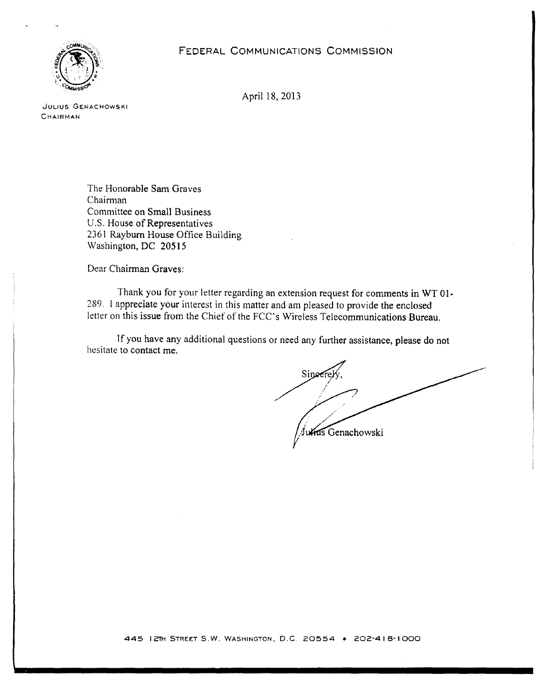

April 18, 2013

JULIUS GENACHOWSKI **CHAIRMAN** 

> The Honorable Sam Graves Chairman Committee on Small Business U.S. House of Representatives 2361 Rayburn House Office Building Washington, DC 20515

Dear Chairman Graves:

Thank you for your letter regarding an extension request for comments in WT 01-289. I appreciate your interest in this matter and am pleased to provide the enclosed letter on this issue from the Chief of the FCC's Wireless Telecommunications Bureau.

If you have any additional questions or need any further assistance, please do not hesitate to contact me.

Singe Juhus Genachowski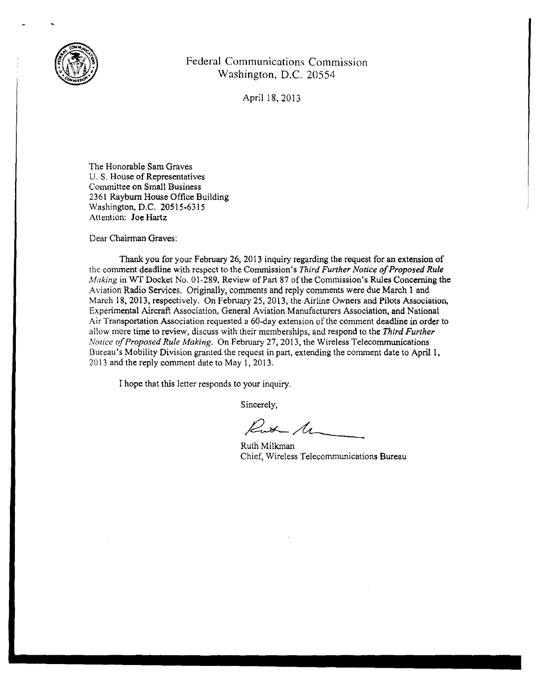

# Federal Communications Commission Washington, D.C. 20554

April 18, 2013

The Honorable Sam Graves U.S. House of Representatives Committee on Small Business 2361 Rayburn House Office Building Washington, D.C. 20515-6315 Attention: Joe Hartz

Dear Chairman Graves:

Thank you for your February 26, 2013 inquiry regarding the request for an extension of the comment deadline with respect to the Commission's *Third Further Notice of Proposed Rule Making* in Wf Docket No. 01-289, Review of Part 87 of the Commission's Rules Concerning the Aviation Radio Services. Originally, comments and reply comments were due March 1 and March 18, 2013, respectively. On February 25, 2013, the Airline Owners and Pilots Association, Experimental Aircraft Association, General Aviation Manufacturers Association, and National Air Transportation Association requested a 60-day extension of the comment deadline in order to allow more time to review, discuss with their memberships, and respond to the *Third Further Notice of Proposed Rule Making.* On February 27, 2013, the Wireless Telecommunications Bureau's Mobility Division granted the request in part, extending the comment date to April 1, 2013 and the reply comment date to May 1, 2013.

I hope that this letter responds to your inquiry.

Sincerely,

Ruth 1

Ruth Milkman Chief, Wireless Telecommunications Bureau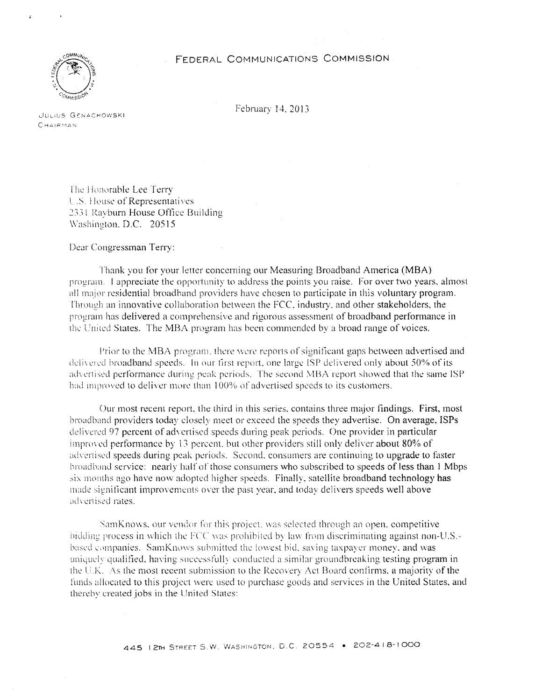

February 14. 2013

**JULIUS GENACHOWSKI** CHAIRMAN

> The Honorable Lee Terry U.S. House of Representatives 2331 Rayburn House Office Building Washington. D.C. 20515

Dear Congressman Terry:

Thank you for your letter concerning our Measuring Broadband America (MBA) program. I appreciate the opportunity to address the points you raise. For over two years, almost all major residential broadband providers have chosen to participate in this voluntary program. Through an innovative collaboration between the FCC, industry, and other stakeholders, the program has delivered a comprehensive and rigorous assessment of broadband performance in the United States. The MBA program has been commended by a broad range of voices.

Prior to the MBA program, there were reports of significant gaps between advertised and delivered broadband speeds. In our first report, one large ISP delivered only about 50% of its advertised performance during peak periods. The second MBA report showed that the same ISP had improved to deliver more than 100% of advertised speeds to its customers.

Our most recent report, the third in this series, contains three major findings. First, most broadband providers today dosely meet or exceed the speeds they advertise. On average, ISPs delivered 97 percent of advertised speeds during peak periods. One provider in particular improved performance by 13 percent, but other providers still only deliver about  $80%$  of advertised speeds during peak periods. Second, consumers are continuing to upgrade to faster broadband service: nearly half of those consumers who subscribed to speeds of less than 1 Mbps six months ago have now adopted higher speeds. Finally, satellite broadband technology has made significant improvements over the past year, and today delivers speeds well above advertised rates.

SamKnows, our vendor for this project, was selected through an open, competitive bidding process in which the FCC was prohibited by law from discriminating against non- $U.S.$ based companies. SamKnows submitted the lowest bid, saving taxpayer money, and was uniquely qualified, having successfully conducted a similar groundbreaking testing program in the U.K. As the most recent submission to the Recovery Act Board confirms, a majority of the funds allocated to this project were used to purchase goods and services in the United States, and thereby created jobs in the United Slates: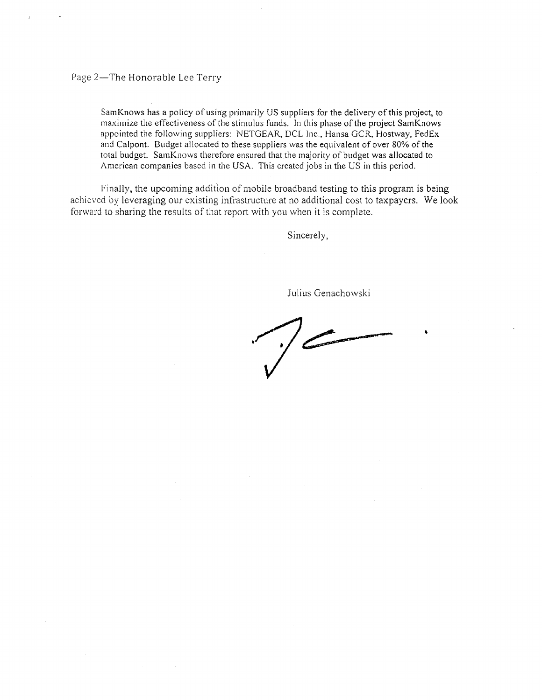#### Page 2-The Honorable Lee Terry

SamKnows has a policy of using primarily US suppliers for the delivery of this project, to maximize the effectiveness of the stimulus funds. In this phase of the project SamKnows appointed the following suppliers: NETGEAR, DCL Inc., Hansa GCR, Hostway, FedEx and Calpont. Budget allocated to these suppliers was the equivalent of over 80% of the total budget. SamKnows therefore ensured that the majority of budget was allocated to American companies based in the USA. This created jobs in the US in this period.

Finally, the upcoming addition of mobile broadband testing to this program is **being**  achieved by leveraging our existing infrastructure at no additional cost to taxpayers. We look forward to sharing the results of that report with you when it is complete.

Sincerely,

 $76$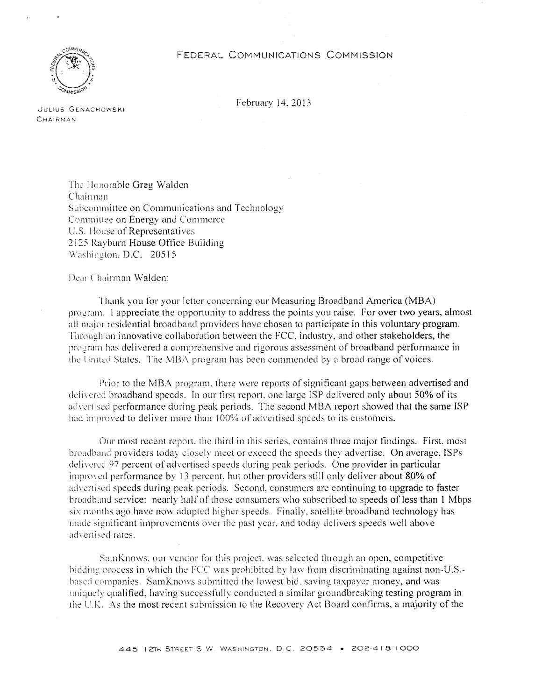

February 14. 2013

JULIUS GCNACHOWSKI CHAIRMAN

> The Honorable Greg Walden Chairman Subcommittee on Communications and Technology Committee on Energy and Commerce U.S. House of Representatives 2125 Rayburn House Office Building Washington, D.C. 20515

Dear Chairman Walden:

Thank you for your letter concerning our Measuring Broadband America (MBA) program. I appreciate the opportunity to address the points you raise. For over two years, almost all major residential broadband providers have chosen to participate in this voluntary program. Through an innovative collaboration between the FCC, industry, and other stakeholders, the program has delivered a comprehensive and rigorous assessment of broadband performance in the United States. The MBA program has been commended by a broad range of voices.

Prior to the MBA program, there were reports of significant gaps between advertised and delivered broadband speeds. In our first report, one large ISP delivered only about 50% of its advertised performance during peak periods. The second MBA report showed that the same ISP had improved to deliver more than 100% of advertised speeds to its customers.

Our most recent report. the third in this series. contains three major findings. First. most broadband providers today closely meet or exceed the speeds they advertise. On average, ISPs delivered 97 percent of advertised speeds during peak periods. One provider in particular improved performance by 13 percent, but other providers still only deliver about 80% of advertised speeds during peak periods. Second, consumers are continuing to upgrade to faster broadband service: nearly half of those consumers who subscribed to speeds of less than 1 Mbps six months ago have now adopted higher speeds. Finally, satellite broadband technology has made significant improvements over the past year, and today delivers speeds well above advertised rates.

SamKnows, our vendor for this project, was selected through an open, competitive bidding process in which the FCC was prohibited by law from discriminating against non-U.S.based companies. SamKnows submitted the lowest bid, saving taxpayer money, and was uniquely qualified, having successfully conducted a similar groundbreaking testing program in the U.K. As the most recent submission to the Recovery Act Board confirms, a majority of the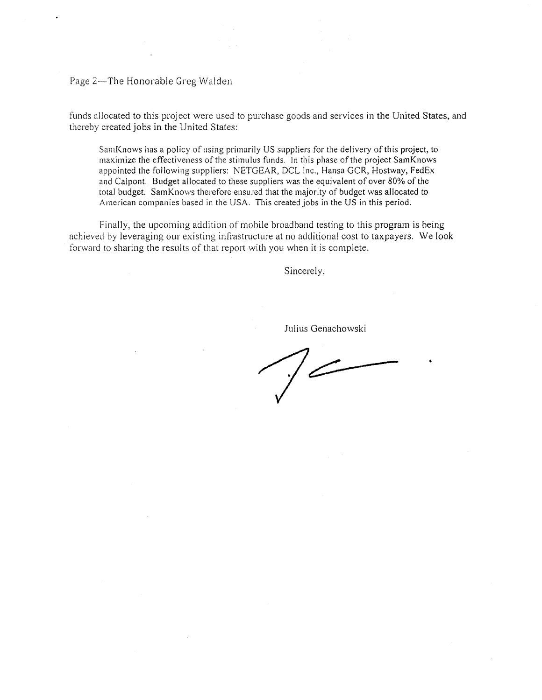### Page 2-The Honorable Greg Walden

funds allocated to this project were used to purchase goods and services in the United States, and thereby created jobs in the United States:

SamKnows has a policy of using primarily US suppliers for the delivery of this project, to maximize the effectiveness of the stimulus funds. Jn this phase of the project SamKnows appointed the following suppliers: NETGEAR, DCL Inc., Hansa GCR, Hostway, FedEx and Calpont. Budget allocated to these suppliers was the equivalent of over 80% of the total budget. Sam Knows therefore ensured that the majority of budget was allocated to American companies based in the USA. This created jobs in the US in this period.

Finally, the upcoming addition of mobile broadband testing to this program is being achieved by leveraging our existing infrastructure at no additional cost to taxpayers. We look forward to sharing the results of that report with you when it is complete.

Sincerely,

 $\frac{1}{2}$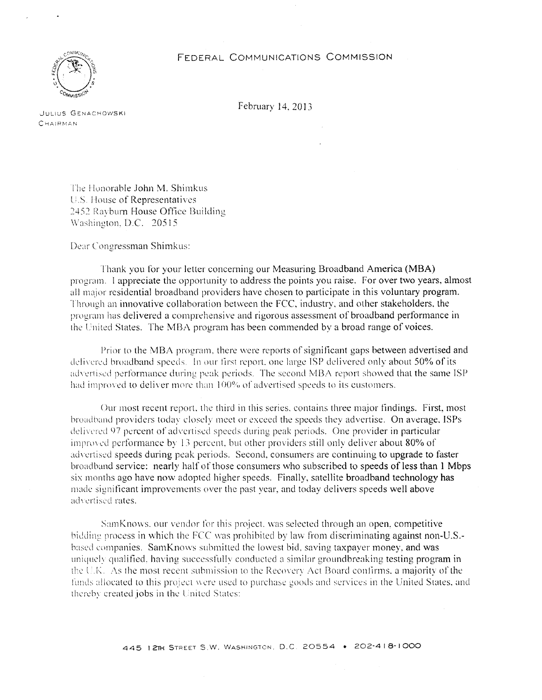

February 14. 2013

JULIUS GENACHOWSKI CHAIRMAN

> The Honorable John M. Shimkus U.S. House of Representatives 2452 Rayburn House Office Building Washington, D.C. 20515

Dear Congressman Shimkus:

Thank you for your letter concerning our Measuring Broadband America (MBA) program. I appreciate the opportunity to address the points you raise. For over two years, almost all major residential broadband providers have chosen to participate in this voluntary program. Through an innovative collaboration between the FCC, industry. and other stakeholders. the program has delivered a comprehensive and rigorous assessment of broadband performance in the United States. The MBA program has been commended by a broad range of voices.

Prior to the MBA program, there were reports of significant gaps between advertised and delivered broadband speeds. In our first report, one large ISP delivered only about 50% of its advertised performance during peak periods. The second MBA report showed that the same ISP had improved to deliver more than  $100\%$  of advertised speeds to its customers.

Our most recent report, the third in this series, contains three major findings. First, most broadband providers today closely meet or exceed the speeds they advertise. On average, ISPs delivered 97 percent of advertised speeds during peak periods. One provider in particular improved performance by 13 percent, but other providers still only deliver about 80% of advertised speeds during peak periods. Second, consumers are continuing to upgrade to faster broadband service: nearly half of those consumers who subscribed to speeds of less than 1 Mbps six months ago have now adopted higher speeds. Finally, satellite broadband technology has made significant improvements over the past year, and today delivers speeds well above advertised rates.

Sam Knows. our vendor for this project, was selected through an open, competitive bidding process in which the FCC was prohibited by law from discriminating against non-U.S.based companies. SamKnows submitted the lowest bid. saving taxpayer money, and was uniquely qualified, having successfully conducted a similar groundbreaking testing program in the U.K. As the most recent submission to the Recovery Act Board confirms, a majority of the funds allocated to this project were used to purchase goods and services in the United States, and thereby created jobs in the United States: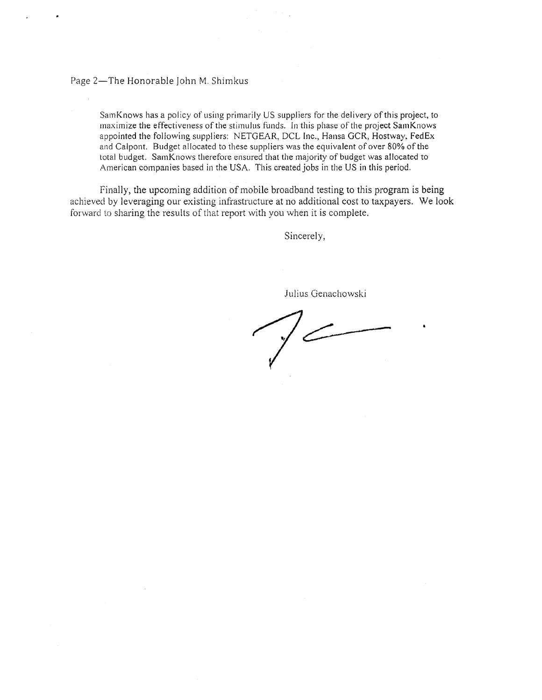#### Page 2-The Honorable John M. Shimkus

SamKnows has a policy of using primarily US suppliers for the delivery of this project, to maximize the effectiveness of the stimulus funds. In this phase of the project SamKnows appointed the following suppliers: NETGEAR, DCL Inc., Hansa GCR, Hostway, FedEx and Calpont. Budget allocated to these suppliers was the equivalent of over 80% of the total budget. Sam Knows therefore ensured that the majority of budget was allocated to American companies based in the USA. This created jobs in the US in this period.

Finally, the upcoming addition of mobile broadband testing to this program is being achieved by leveraging our existing infrastructure at no additional cost to taxpayers. We look forward to sharing the results of that report with you when it is complete.

Sincerely,

 $\mathcal{J}$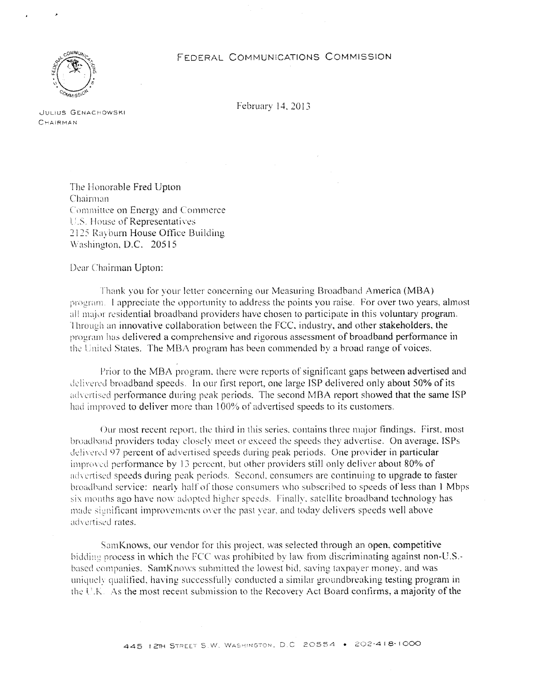

February 14, 2013

**JULIUS GENACHOWSKI** CHAIRMAN

> The Honorable Fred Upton Chairman Committee on Energy and Commerce U.S. House of Representatives 2125 Rayburn House Office Building Washington, D.C. 20515

Dear Chairman Upton:

Thank you for your letter concerning our Measuring Broadband America (MBA) program. I appreciate the opportunity to address the points you raise. For over two years, almost all major residential broadband providers have chosen to participate in this voluntary program. Through an innovative collaboration between the FCC, industry, and other stakeholders, the program has delivered a comprehensive and rigorous assessment of broadband performance in the United States. The MBA program has been commended by a broad range of voices.

Prior to the MBA program, there were reports of significant gaps between advertised and delivered broadband speeds. In our first report, one large ISP delivered only about 50% of its advertised performance during peak periods. The second MBA report showed that the same ISP had improved to deliver more than 100% of advertised speeds to its customers.

Our most recent report, the third in this series, contains three major findings. First, most broadband providers today closely meet or exceed the speeds they advertise. On average, ISPs delivered 97 percent of advertised speeds during peak periods. One provider in particular improved performance by 13 percent, but other providers still only deliver about 80% of advertised speeds during peak periods. Second, consumers are continuing to upgrade to faster broadband service: nearly half of those consumers who subscribed to speeds of less than 1 Mbps six months ago have now adopted higher speeds. Finally, satellite broadband technology has made significant improvements over the past year, and today delivers speeds well above advertised rates.

SamKnows, our vendor for this project, was selected through an open, competitive bidding process in which the FCC was prohibited by law from discriminating against non-U.S.based companies. SamKnows submitted the lowest bid, saving taxpayer money, and was uniquely qualified, having successfully conducted a similar groundbreaking testing program in the U.K. As the most recent submission to the Recovery Act Board confirms, a majority of the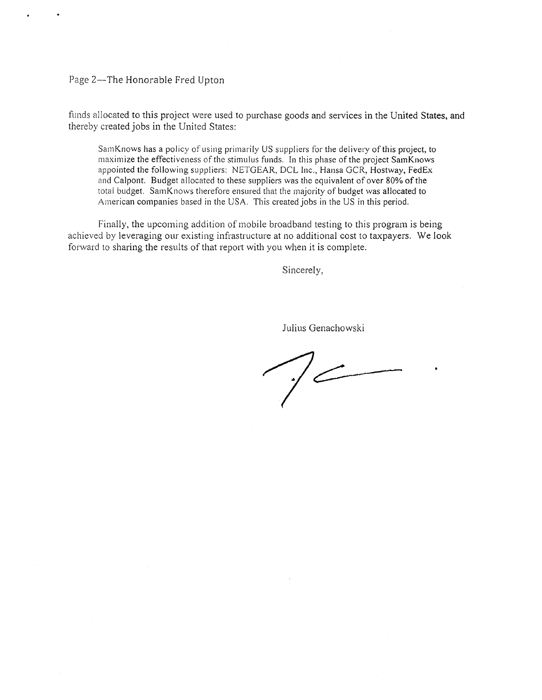## Page 2-The Honorable Fred Upton

funds allocated to this project were used to purchase goods and services in the United States, and thereby created jobs in the United States:

SamKnows has a policy of using primarily US suppliers for the delivery of this project, to maximize the effectiveness of the stimulus funds. In this phase of the project SamKnows appointed the following suppliers: NETGEAR, DCL Inc., Hansa GCR, Hostway, FedEx and Calpont. Budget allocated to these suppliers was the equivalent of over 80% of the total budget. Sam Knows therefore ensured that the majority of budget was allocated to American companies based in the USA. This created jobs in the US in this period.

Finally, the upcoming addition of mobile broadband testing to this program is being achieved by leveraging our existing infrastructure at no additional cost to taxpayers. We look forward to sharing the results of that report with you when it is complete.

Sincerely,

 $\sqrt{2}$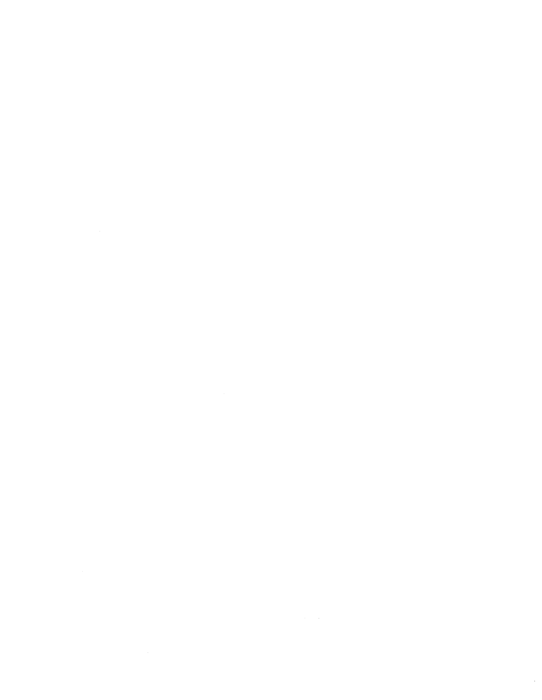$\mathcal{A}^{\mathcal{A}}$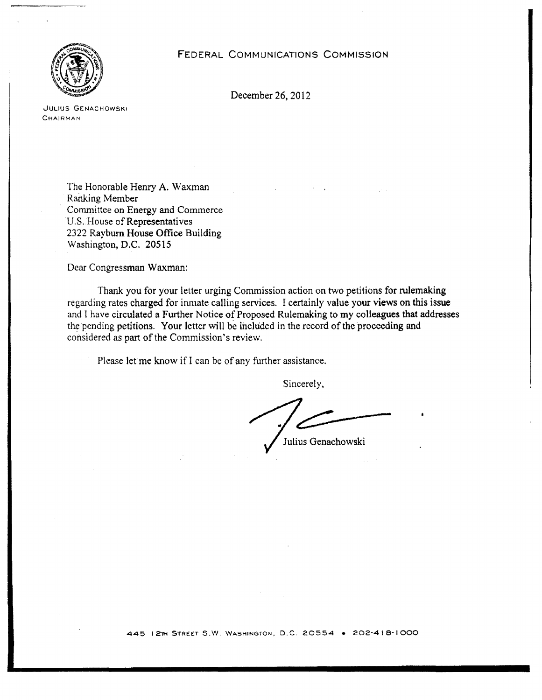

December 26, 2012

JULIUS GENACHOWSKI CHAIRMAN

> The Honorable Henry A. Waxman Ranking Member Committee on Energy and Commerce U.S. House of Representatives 2322 Rayburn House Office Building Washington, D.C. 20515

Dear Congressman Waxman:

Thank you for your letter urging Commission action on two petitions for rulemaking regarding rates charged for inmate calling services. I certainly value your views on this issue and I have circulated a Further Notice of Proposed Rulemaking to my colleagues that addresses the pending petitions. Your letter will be included in the record of the proceeding and considered as part of the Commission's review.

Please let me know if I can be of any further assistance.

Sincerely,

Julius Genachowski

•